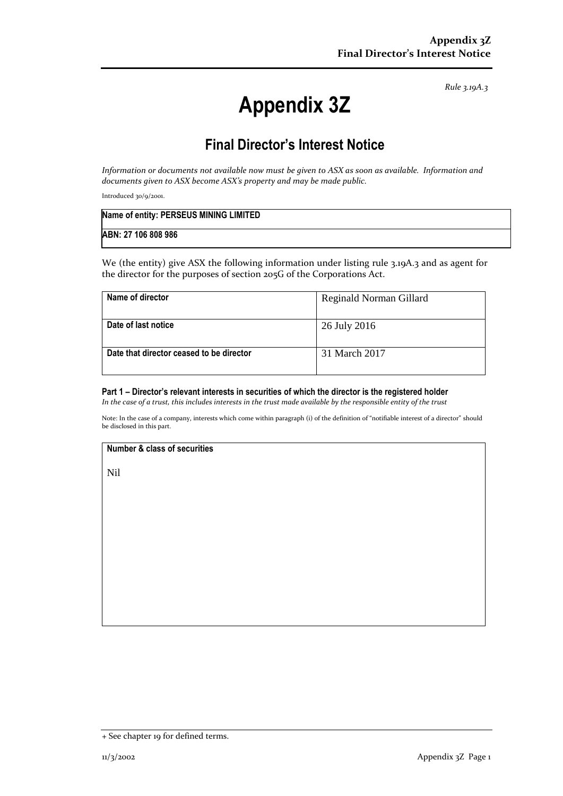*Rule 3.19A.3*

# **Appendix 3Z**

# **Final Director's Interest Notice**

*Information or documents not available now must be given to ASX as soon as available. Information and documents given to ASX become ASX's property and may be made public.*

Introduced 30/9/2001.

| Name of entity: PERSEUS MINING LIMITED |  |
|----------------------------------------|--|
| ABN: 27 106 808 986                    |  |

We (the entity) give ASX the following information under listing rule 3.19A.3 and as agent for the director for the purposes of section 205G of the Corporations Act.

| Name of director                         | Reginald Norman Gillard |
|------------------------------------------|-------------------------|
| Date of last notice                      | 26 July 2016            |
| Date that director ceased to be director | 31 March 2017           |

#### **Part 1 – Director's relevant interests in securities of which the director is the registered holder**

*In the case of a trust, this includes interests in the trust made available by the responsible entity of the trust*

Note: In the case of a company, interests which come within paragraph (i) of the definition of "notifiable interest of a director" should be disclosed in this part.

#### **Number & class of securities**

Nil

<sup>+</sup> See chapter 19 for defined terms.